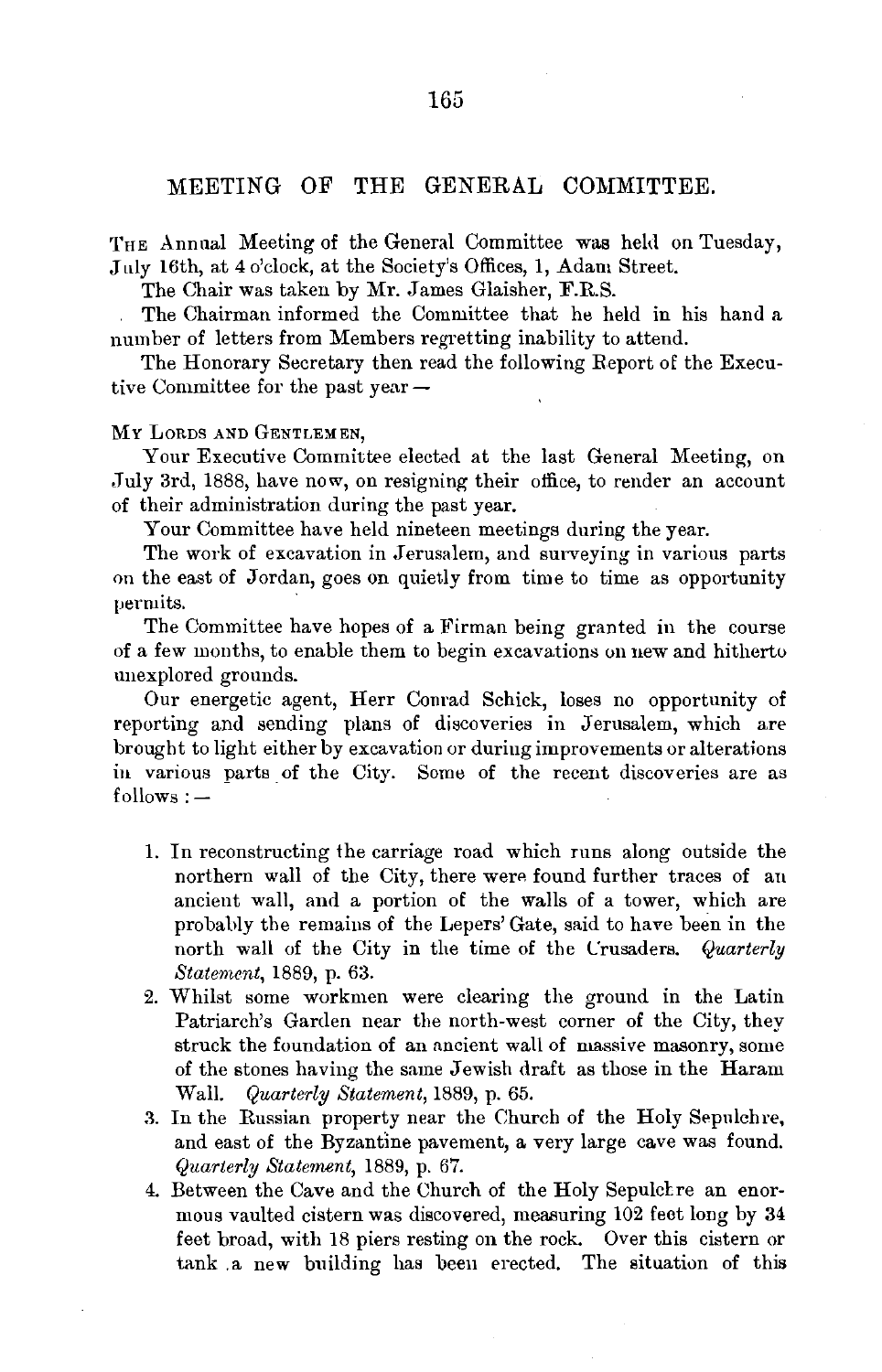## MEETING OF THE GENERAL COMMITTEE.

THE Annual Meeting of the General Committee was held on Tuesday, July 16th, at 4 o'clock, at the Society's Offices, 1, Adam Street.

The Chair was taken by Mr. James Glaisher, F.R.S.

The Chairman informed the Committee that he held in his hand a number of letters from Members regretting inability to attend.

The Honorary Secretary then read the following Report of the Executive Committee for the past year -

## MY LoRDS AND GENTLEMEN,

Your Executive Committee elected at the last General Meeting, on July 3rd, 1888, have now, on resigning their office, to render an account of their administration during the past year.

Your Committee have held nineteen meetings during the year.

The work of excavation in Jerusalem, and surveying in various parts on the east of Jordan, goes on quietly from time to time as opportunity permits.

The Committee have hopes of a Firman being granted in the course of a few months, to enable them to begin excavations on new and hitherto unexplored grounds.

Our energetic agent, Herr Conrad Schick, loses no opportunity of reporting and sending plans of discoveries in Jerusalem, which are brought to light either by excavation or during improvements or alterations in various parts of the City. Some of the recent discoveries are as  $follows:$   $-$ 

- 1. In reconstructing the carriage road which runs along outside the northern wall of the City, there were found further traces of an ancient wall, and a portion of the walls of a tower, which are probably the remains of the Lepers' Gate, said to have been in the north wall of the City in the time of the Crusaders. *Quarterly Staternent,* 1889, p. 63.
- 2. Whilst some workmen were clearing the ground in the Latin Patriarch's Garden near the north-west corner of the City, they struck the foundation of an ancient wall of massive masonry, some of the stones having the same Jewish draft as those in the Haram Wall. *Quarterly Staternent,* 1889, p. 65.
- 3. In the Russian property near the Church of the Holy Sepulchre, and east of the Byzantine pavement, a very large cave was found. *Quarterly Statement,* 1889, p. 67.
- 4. Between the Cave and the Church of the Holy Sepulchre an enormous vaulted cistern was discovered, measuring 102 feet long by 34 feet broad, with 18 piers resting on the rock. Over this cistern or tank .a new building has been erected. The situation of this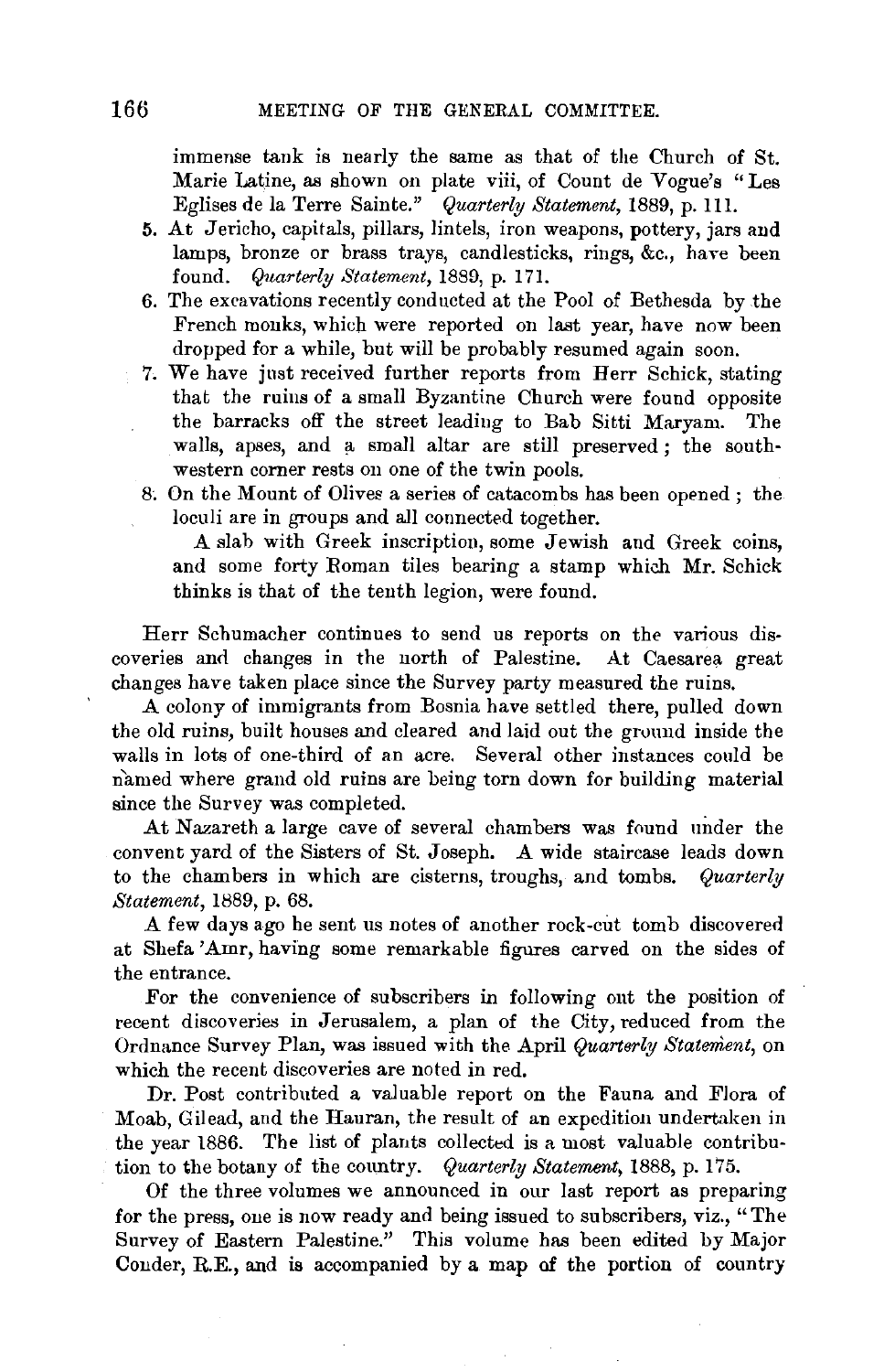immense tank is nearly the same as that of the Church of St. Marie Latine, as shown on plate viii, of Count de Vogue's "Les Eglises de la Terre Sainte." *Quarterly Statement,* 1889, p. 111.

- 5. At Jericho, capitals, pillars, lintels, iron weapons, pottery, jars and lamps, bronze or brass trays, candlesticks, rings, &c., have been found. *Quarterly Statement,* 1889, p. 171.
- 6. The excavations recently conducted at the Pool of Bethesda by the French monks, which were reported on last year, have now been dropped for a while, but will be probably resumed again soon.
- 7. We have just received further reports from Herr Schick, stating that the ruins of a small Byzantine Church were found opposite the barracks off the street leading to Bab Sitti Maryam. The walls, apses, and a small altar are still preserved; the southwestern corner rests on one of the twin pools.
- 8; On the Mount of Olives a series of catacombs has been opened ; the loculi are in groups and all connected together.

A slab with Greek inscription, some Jewish and Greek coins, and some forty Roman tiles bearing a stamp which Mr. Schick thinks is that of the tenth legion, were found.

Herr Schumacher continues to send us reports on the various discoveries and changes in the north of Palestine. At Caesarea great changes have taken place since the Survey party measured the ruins.

A colony of immigrants from Bosnia have settled there, pulled down the old ruins, built houses and cleared and laid out the ground inside the walls in lots of one-third of an acre. Several other instances could be named where grand old ruins are being torn down for building material since the Survey was completed.

At Nazareth a large cave of several chambers was found under the convent yard of the Sisters of St. Joseph. A wide staircase leads down to the chambers in which are cisterns, troughs, and tombs. *Quarterly Statement,* 1889, p. 68.

A few days ago he sent us notes of another rock-cut tomb discovered at Shefa 'Amr, having some remarkable figures carved on the sides of the entrance.

For the convenience of subscribers in following out the position of recent discoveries in Jerusalem, a plan of the City, reduced from the Ordnance Survey Plan, was issued with the April *Quarterly Statement,* on which the recent discoveries are noted in red.

Dr. Post contributed a valuable report on the Fauna and Flora of Moab, Gilead, and the Hauran, the result of an expedition undertaken in the year 1886. The list of plants collected is a most valuable contribution to the botany of the country. *Quarterly Statement,* 1888, p. 175.

Of the three volumes we announced in our last report as preparing for the press, one is now ready and being issued to subscribers, viz., "The Survey of Eastern Palestine." This volume has been edited by Major Conder, R.E., and is accompanied by a map of the portion of country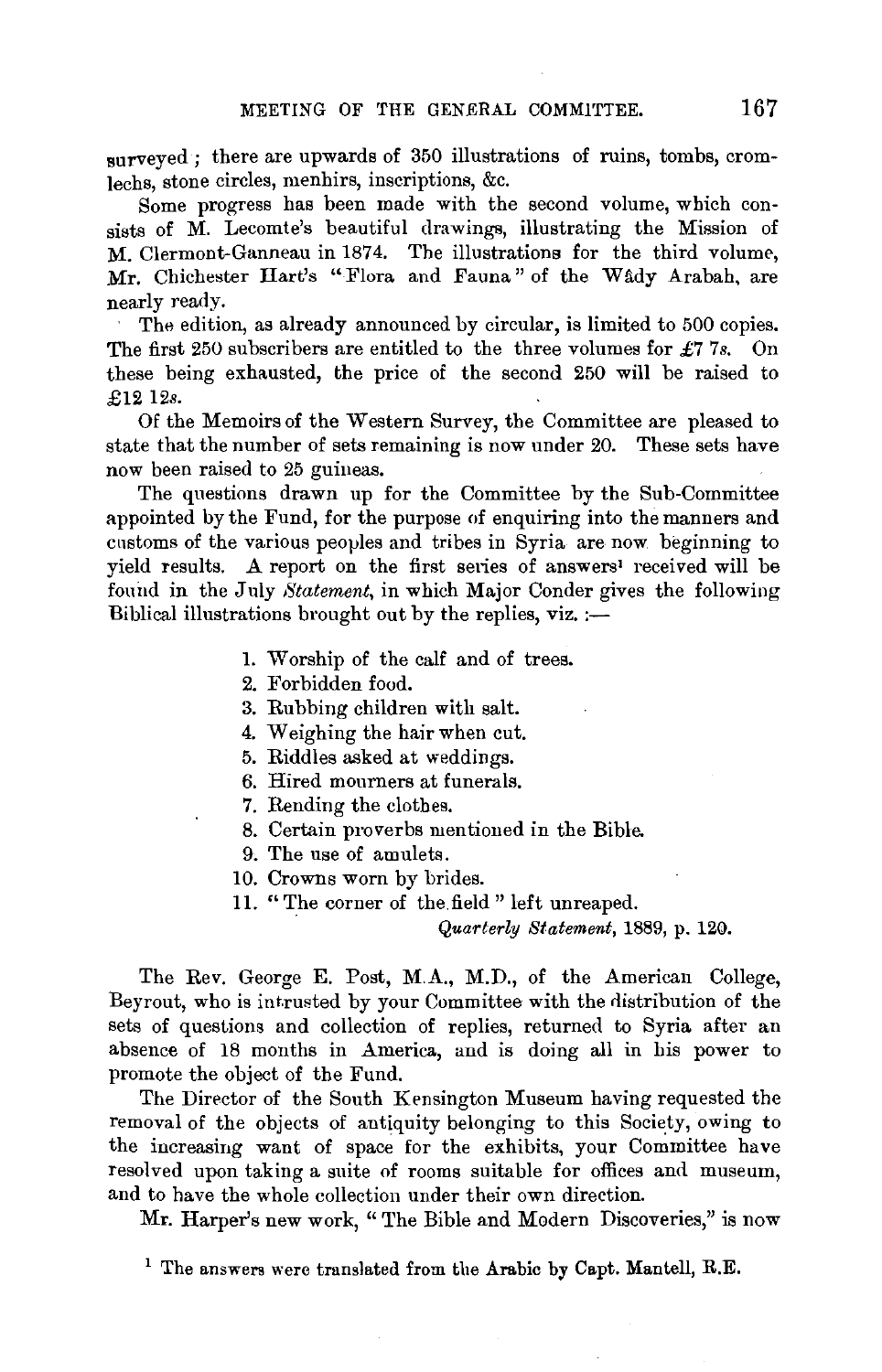surveyed ; there are upwards of 350 illustrations of ruins, tombs, cromlechs, stone circles, menhirs, inscriptions, &c.

Some progress has been made with the second volume, which consists of M. Lecomte's beautiful drawings, illustrating the Mission of M. Clermont-Ganneau in 1874. The illustrations for the third volume, Mr. Chichester Hart's "Flora and Fauna" of the Wady Arabah, are nearly ready.

The edition, as already announced by circular, is limited to 500 copies. The first 250 subscribers are entitled to the three volumes for £7 7s. On these being exhausted, the price of the second 250 will be raised to £12 12s.

Of the Memoirs of the Western Survey, the Committee are pleased to state that the number of sets remaining is now under 20. These sets have now been raised to 25 guineas.

The questions drawn up for the Committee by the Sub-Committee appointed by the Fund, for the purpose of enquiring into the manners and customs of the various peoples and tribes in Syria are now beginning to yield results. A report on the first series of answers' received will be found in the July Statement, in which Major Conder gives the following Biblical illustrations brought out by the replies,  $viz$ . :-

- 1. Worship of the calf and of trees.
- 2. Forbidden food.
- 3. Rubbing children with salt.
- 4. Weighing the hair when cut.
- 5. Riddles asked at weddings.
- 6. Hired mourners at funerals.
- 7. Rending the clothes.
- 8. Certain proverbs mentioned in the Bible.
- 9. The use of amulets.
- 10. Crowns worn by brides.
- 11. "The corner of the field" left unreaped.

*Quarterly Statement,* 1889, p. 120.

The Rev. George E. Post, M.A., M.D., of the American College, Beyrout, who is intrusted by your Committee with the distribution of the sets of questions and collection of replies, returned to Syria after an absence of 18 months in America, and is doing all in his power to promote the object of the Fund.

The Director of the South Kensington Museum having requested the removal of the objects of antiquity belonging to this Society, owing to the increasing want of space for the exhibits, your Committee have resolved upon taking a suite of rooms suitable for offices and museum, and to have the whole collection under their own direction.

Mr. Harper's new work, " The Bible and Modern Discoveries," is now

<sup>&</sup>lt;sup>1</sup> The answers were translated from the Arabic by Capt. Mantell, R.E.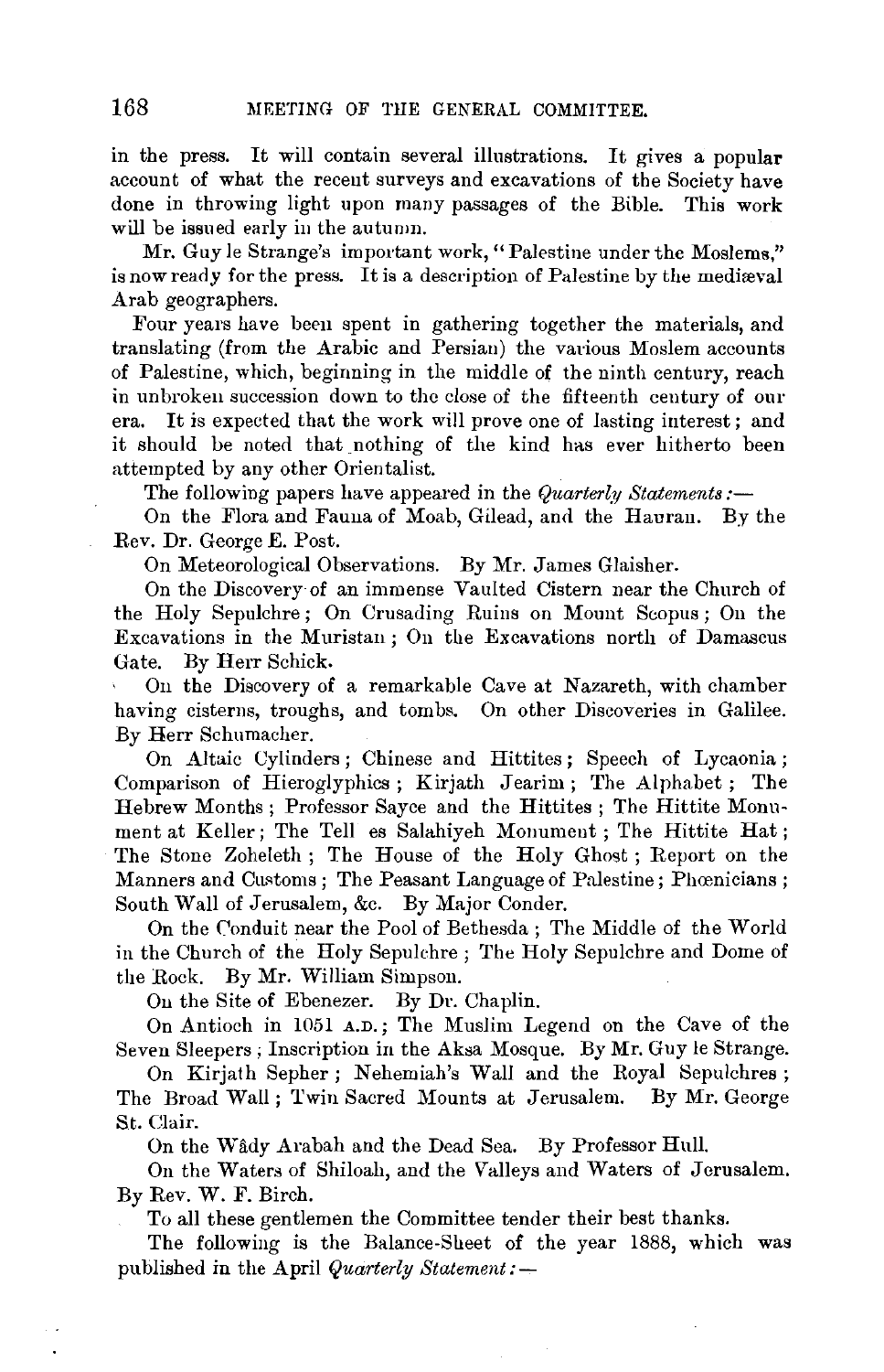in the press. It will contain several illustrations. It gives a popular account of what the recent surveys and excavations of the Society have done in throwing light upon many passages of the Bible. This work will be issued early in the autumn.

Mr. Guy le Strange's important work, "Palestine under the Moslems." is now ready for the press. It is a description of Palestine by the mediaval Arab geographers.

Four years have been spent in gathering together the materials, and translating (from the Arabic and Persian) the various Moslem accounts of Palestine, which, beginning in the middle of the ninth century, reach in unbroken succession down to the close of the fifteenth century of our era. It is expected that the work will prove one of lasting interest; and it should be noted that nothing of the kind has ever hitherto been attempted by any other Orientalist.

The following papers have appeared in the *Quarterly Statements:-*

On the Flora and Fauna of Moab, Gilead, and the Hauran. By the Rev. Dr. George *E.* Post.

On Meteorological Observations. By Mr. James Glaisher.

On the Discovery of an immense Vaulted Cistern near the Church of the Holy Sepulchre ; On Crusading Ruins on Mount Scopus ; On the Excavations in the Muristan; On the Excavations north of Damascus Gate. By Herr Schick.

On the Discovery of a remarkable Cave at Nazareth, with chamber having cisterns, troughs, and tombs. On other Discoveries in Galilee. By Herr Schumacher.

On Altaic Cylinders; Chinese and Hittites; Speech of Lycaonia; Comparison of Hieroglyphics; Kirjath Jearim; The Alphabet; The Hebrew Months ; Professor Sayee and the Hittites ; The Hittite Monument at Keller; The Tell es Salahiyeh Monument ; The Hittite Hat ; The Stone Zoheleth ; The House of the Holy Ghost ; Report on the Manners and Customs ; The Peasant Language of Palestine; Phœnicians; South Wall of Jerusalem, &c. By Major Conder.

On the Conduit near the Pool of Bethesda ; The Middle of the World in the Church of the Holy Sepulchre ; The Holy Sepulchre and Dome of the Rock. By Mr. William Simpson.

On the Site of Ebenezer. By Dr. Chaplin.

On Antioch in 1051 A.D.; The Muslim Legend on the Cave of the Seven Sleepers ; Inscription in the Aksa Mosque. By Mr. Guy le Strange.

On Kirjath Sepher; Nehemiah's Wall and the Royal Sepulchres; The Broad Wall; Twin Sacred Mounts at Jerusalem. By Mr. George St. Clair.

On the Wady Arabah and the Dead Sea. By Professor Hull.

On the Waters of Shiloah, and the Valleys and Waters of Jerusalem. By Rev. W. F. Birch.

To all these gentlemen the Committee tender their best thanks.

The following is the Balance-Sheet of the year 1888, which was published in the April *Quarterly Statement:-*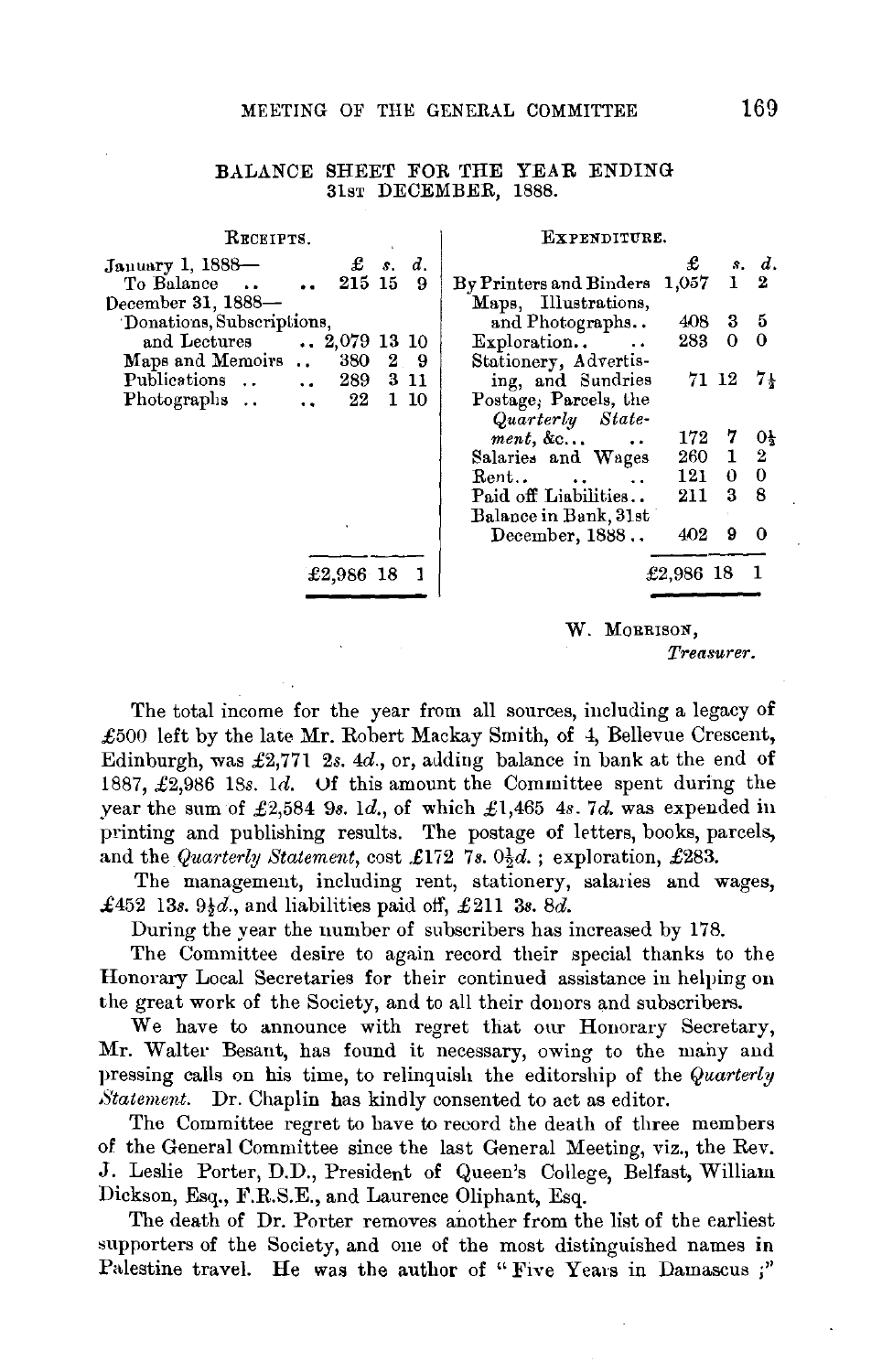## ALANCE SHEET FOR THE YEAR ENDING

| RECEIPTS.                                |  |         | EXPENDITURE.                                                |           |              |                |
|------------------------------------------|--|---------|-------------------------------------------------------------|-----------|--------------|----------------|
| $\pounds$ s.<br>January 1, 1888-         |  | d.      |                                                             | £         |              | s. d.          |
| 215 15<br>To Balance                     |  | 9       | By Printers and Binders 1,057                               |           | $1\quad 2$   |                |
| December 31, 1888-                       |  |         | Maps, Illustrations,                                        |           |              |                |
| Donations, Subscriptions,                |  |         | and Photographs                                             | 408       | $3\quad 5$   |                |
| and Lectures<br>$\ldots$ 2,079 13 10     |  |         | Exploration. .                                              | 283       | $\mathbf{0}$ | $\bf{0}$       |
| Maps and Memoirs<br>$\ddot{\phantom{a}}$ |  | 380 2 9 | Stationery, Advertis-                                       |           |              |                |
| Publications<br>289<br>$\sim$ $\sim$     |  | 3 1 1   | ing, and Sundries                                           |           | 71 12        | 74             |
| Photographs.<br>22                       |  | 1 10    | Postage, Parcels, the                                       |           |              |                |
|                                          |  |         | Quarterly State-                                            |           |              |                |
|                                          |  |         | $ment, \&c$                                                 | 172       | 7            | $0\frac{1}{2}$ |
|                                          |  |         | Salaries and Wages                                          |           | 260 1 2      |                |
|                                          |  |         | $\operatorname{Rent.}$ .<br><b><i>Contractor States</i></b> | 121       | $\mathbf 0$  | $\mathbf{0}$   |
|                                          |  |         | Paid off Liabilities                                        | 211       | 38           |                |
|                                          |  |         | Balance in Bank, 31st                                       |           |              |                |
|                                          |  |         | December, 1888                                              | 402       | 9            | $\Omega$       |
|                                          |  |         |                                                             |           |              |                |
| £2,986 18                                |  |         |                                                             | £2,986 18 |              |                |
|                                          |  |         |                                                             |           |              |                |

w. MORRISON, *Treasurer.* 

The total income for the year from all sources, including a legacy of £500 left by the late Mr. Robert Mackay Smith, of 4, Bellevue Crescent, Edinburgh, was £2,771 2s. *4d.,* or, adding balance in bank at the end of 1887, £2,986 18s. 1d. Uf this amount the Committee spent during the year the sum of £2,584 9s. 1d., of which £1,465 *4s.* 7d. was expended iu printing and publishing results. The postage of letters, books, parcels, and the *Quarterly Statement*, cost £172 7s.  $0\frac{1}{2}d$ .; exploration, £283.

The management, including rent, stationery, salaries and wages, £452 13s.  $9\frac{1}{3}d$ , and liabilities paid off, £211 3s. 8d.

During the year the number of subscribers has increased by 178.

The Committee desire to again record their special thanks to the Honorary Local Secretaries for their continued assistance in helping on the great work of the Society, and to all their donors and subscribers.

We have to announce with regret that our Honorary Secretary, Mr. Waiter Besant, has found it necessary, owing to the many and pressing calls on his time, to relinquish the editorship of the *Quarterly Statement.* Dr. Chaplin has kindly consented to act as editor.

The Committee regret to have to record the death of three members of the General Committee since the last General Meeting, viz., the Rev. J. Leslie Porter, D.D., President of Queen's College, Belfast, William Dickson, Esq., F.R.S.E., and Laurence Oliphant, Esq.

The death of Dr. Porter removes another from the list of the earliest supporters of the Society, and one of the most distinguished names in Palestine travel. He was the author of "Five Years in Damascus ;"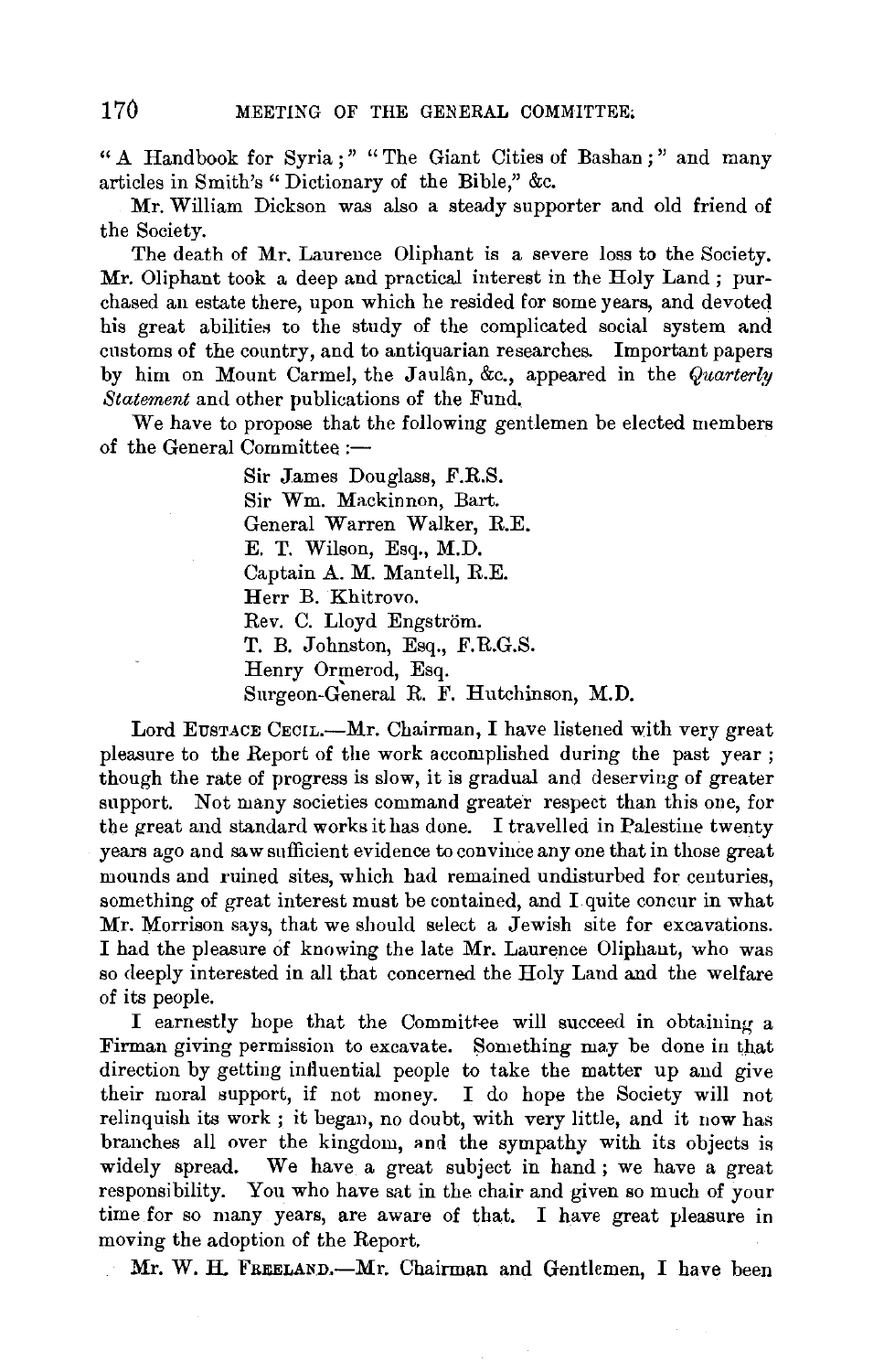" A Handbook for Syria ; " " The Giant Cities of Bashan ; " and many articles in Smith's "Dictionary of the Bible," &c.

Mr. William Dickson was also a steady supporter and old friend of the Society.

The death of Mr. Laurence Oliphant is a severe loss to the Society. Mr. Oliphant took a deep and practical interest in the Holy Land ; purchased an estate there, upon which he resided for some years, and devoted his great abilities to the study of the complicated social system and customs of the country, and to antiquarian researches. Important papers by him on Mount Carmel, the Jaulân, &c., appeared in the *Quarterly Statement* and other publications of the Fund.

We have to propose that the following gentlemen be elected members of the General Committee :-

> Sir James Douglass, F.R.S. Sir Wm. Mackinnon, Bart. General Warren Walker, R.E. E. T. Wilson, Esq., M.D. Captain A. M. Mantell, R.E. Herr B. Khitrovo. Rev. C. Lloyd Engström. T. B. Johnston, Esq., F.R.G.S. Henry Ormerod, Esq. Surgeon-General R. F. Hutchinson, M.D.

Lord EUSTACE CECIL.---Mr. Chairman, I have listened with very great pleasure to the Report of the work accomplished during the past year ; though the rate of progress is slow, it is gradual and deserving of greater support. Not many societies command greater respect than this one, for the great and standard works it has done. I travelled in Palestine twenty years ago and saw sufficient evidence to convince any one that in those great mounds and ruined sites, which had remained undisturbed for centuries, something of great interest must be contained, and I quite concur in what Mr. Morrison says, that we should select a Jewish site for excavations. I had the pleasure of knowing the late Mr. Laurence Oliphaut, who was so deeply interested in all that concerned the Holy Land and the welfare of its people.

I earnestly hope that the Committ-ee will succeed in obtaining a Firman giving permission to excavate. Something may be done in that direction by getting influential people to take the matter up and give their moral support, if not money. I do hope the Society will not relinquish its work; it began, no doubt, with very little, and it now has branches all over the kingdom, and the sympathy with its objects is widely spread. We have a great subject in hand; we have a great responsibility. You who have sat in the chair and given so much of your time for so many years, are aware of that. I have great pleasure in moving the adoption of the Report.

Mr. W. H. FREELAND.-Mr. Chairman and Gentlemen, I have been